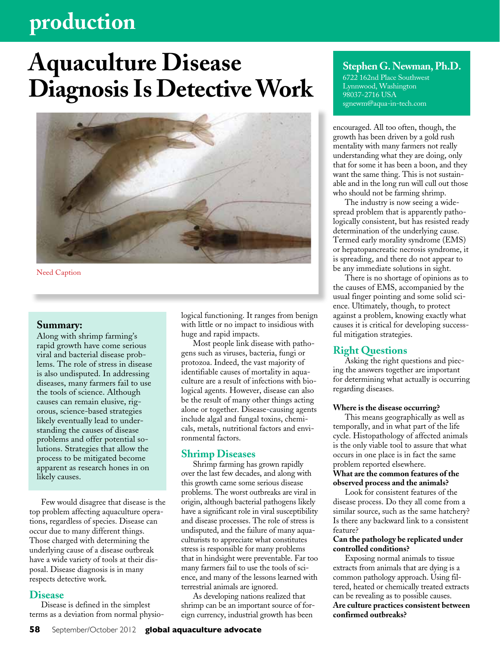# **production**

# **Aquaculture Disease Diagnosis Is Detective Work**



Need Caption

# **Summary:**

Along with shrimp farming's rapid growth have come serious viral and bacterial disease problems. The role of stress in disease is also undisputed. In addressing diseases, many farmers fail to use the tools of science. Although causes can remain elusive, rigorous, science-based strategies likely eventually lead to understanding the causes of disease problems and offer potential solutions. Strategies that allow the process to be mitigated become apparent as research hones in on likely causes.

Few would disagree that disease is the top problem affecting aquaculture operations, regardless of species. Disease can occur due to many different things. Those charged with determining the underlying cause of a disease outbreak have a wide variety of tools at their disposal. Disease diagnosis is in many respects detective work.

# **Disease**

Disease is defined in the simplest terms as a deviation from normal physiological functioning. It ranges from benign with little or no impact to insidious with huge and rapid impacts.

Most people link disease with pathogens such as viruses, bacteria, fungi or protozoa. Indeed, the vast majority of identifiable causes of mortality in aquaculture are a result of infections with biological agents. However, disease can also be the result of many other things acting alone or together. Disease-causing agents include algal and fungal toxins, chemicals, metals, nutritional factors and environmental factors.

# **Shrimp Diseases**

Shrimp farming has grown rapidly over the last few decades, and along with this growth came some serious disease problems. The worst outbreaks are viral in origin, although bacterial pathogens likely have a significant role in viral susceptibility and disease processes. The role of stress is undisputed, and the failure of many aquaculturists to appreciate what constitutes stress is responsible for many problems that in hindsight were preventable. Far too many farmers fail to use the tools of science, and many of the lessons learned with terrestrial animals are ignored.

As developing nations realized that shrimp can be an important source of foreign currency, industrial growth has been

# **Stephen G. Newman, Ph.D.**

6722 162nd Place Southwest Lynnwood, Washington 98037-2716 USA sgnewm@aqua-in-tech.com

encouraged. All too often, though, the growth has been driven by a gold rush mentality with many farmers not really understanding what they are doing, only that for some it has been a boon, and they want the same thing. This is not sustainable and in the long run will cull out those who should not be farming shrimp.

The industry is now seeing a widespread problem that is apparently pathologically consistent, but has resisted ready determination of the underlying cause. Termed early morality syndrome (EMS) or hepatopancreatic necrosis syndrome, it is spreading, and there do not appear to be any immediate solutions in sight.

There is no shortage of opinions as to the causes of EMS, accompanied by the usual finger pointing and some solid science. Ultimately, though, to protect against a problem, knowing exactly what causes it is critical for developing successful mitigation strategies.

# **Right Questions**

Asking the right questions and piecing the answers together are important for determining what actually is occurring regarding diseases.

#### **Where is the disease occurring?**

This means geographically as well as temporally, and in what part of the life cycle. Histopathology of affected animals is the only viable tool to assure that what occurs in one place is in fact the same problem reported elsewhere.

# **What are the common features of the observed process and the animals?**

Look for consistent features of the disease process. Do they all come from a similar source, such as the same hatchery? Is there any backward link to a consistent feature?

#### **Can the pathology be replicated under controlled conditions?**

Exposing normal animals to tissue extracts from animals that are dying is a common pathology approach. Using filtered, heated or chemically treated extracts can be revealing as to possible causes. **Are culture practices consistent between confirmed outbreaks?**